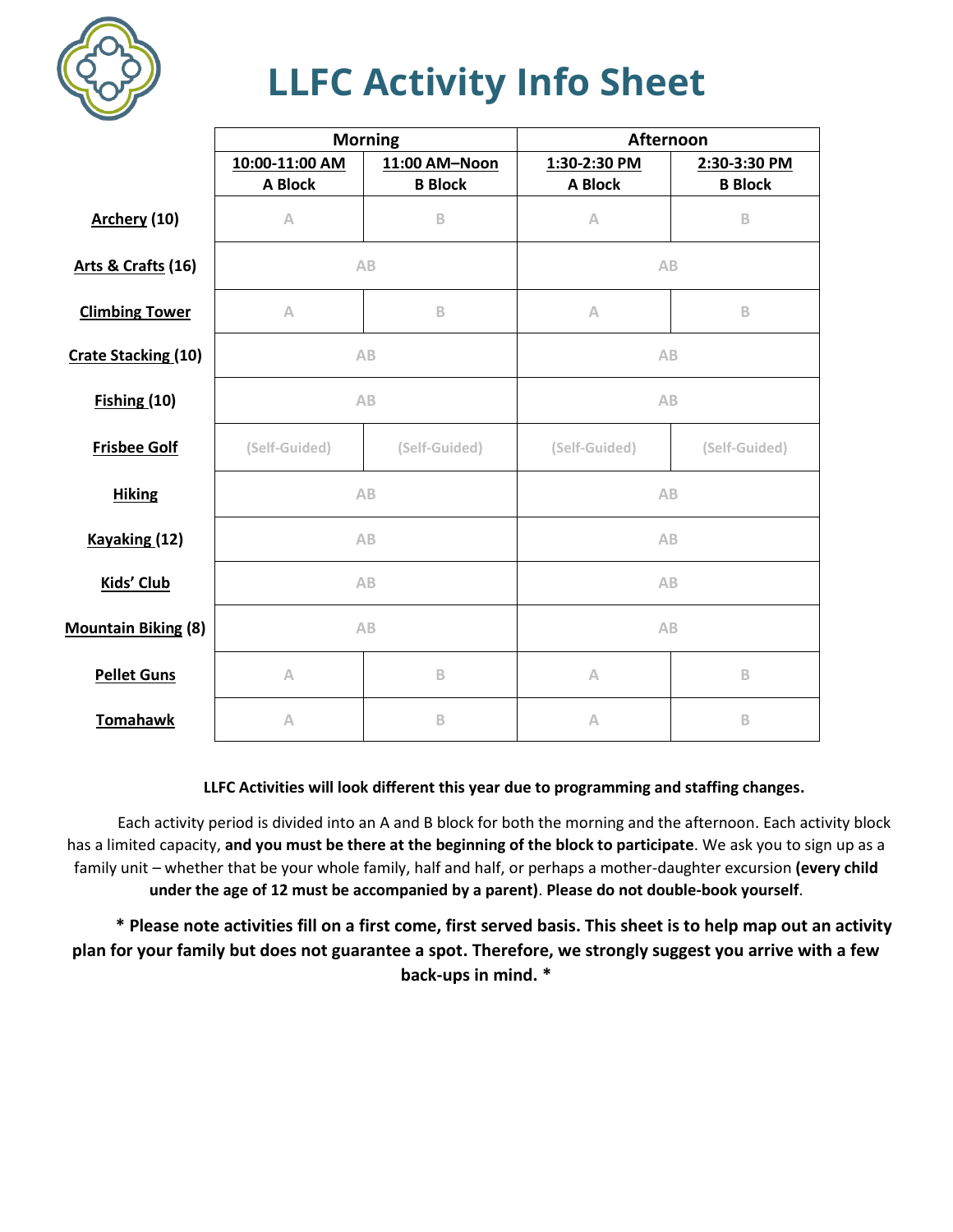

## **LLFC Activity Info Sheet**

|                            | <b>Morning</b> |                | Afternoon     |                |
|----------------------------|----------------|----------------|---------------|----------------|
|                            | 10:00-11:00 AM | 11:00 AM-Noon  | 1:30-2:30 PM  | 2:30-3:30 PM   |
|                            | <b>A Block</b> | <b>B</b> Block | A Block       | <b>B</b> Block |
| Archery (10)               | Α              | B              | A             | B              |
| Arts & Crafts (16)         | AB             |                | AB            |                |
| <b>Climbing Tower</b>      | $\wedge$       | B              | A             | B              |
| <b>Crate Stacking (10)</b> | AB             |                | AB            |                |
| Fishing(10)                | AB             |                | AB            |                |
| <b>Frisbee Golf</b>        | (Self-Guided)  | (Self-Guided)  | (Self-Guided) | (Self-Guided)  |
| <b>Hiking</b>              | AB             |                | AB            |                |
| Kayaking (12)              | AB             |                | AB            |                |
| <b>Kids' Club</b>          | AB             |                | AB            |                |
| <b>Mountain Biking (8)</b> | AB             |                | AB            |                |
| <b>Pellet Guns</b>         | $\wedge$       | B              | A             | B              |
| <b>Tomahawk</b>            | A              | B              | Α             | B              |

## **LLFC Activities will look different this year due to programming and staffing changes.**

Each activity period is divided into an A and B block for both the morning and the afternoon. Each activity block has a limited capacity, **and you must be there at the beginning of the block to participate**. We ask you to sign up as a family unit – whether that be your whole family, half and half, or perhaps a mother-daughter excursion **(every child under the age of 12 must be accompanied by a parent)**. **Please do not double-book yourself**.

**\* Please note activities fill on a first come, first served basis. This sheet is to help map out an activity plan for your family but does not guarantee a spot. Therefore, we strongly suggest you arrive with a few back-ups in mind. \***